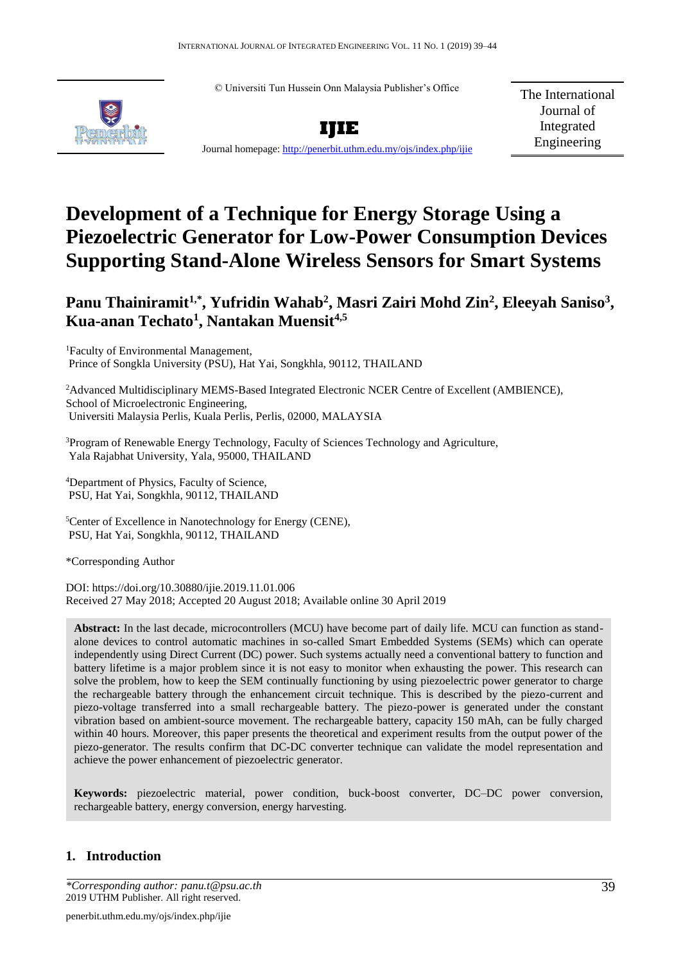© Universiti Tun Hussein Onn Malaysia Publisher's Office





The International Journal of Integrated Engineering

Journal homepage:<http://penerbit.uthm.edu.my/ojs/index.php/ijie>

# **Development of a Technique for Energy Storage Using a Piezoelectric Generator for Low-Power Consumption Devices Supporting Stand-Alone Wireless Sensors for Smart Systems**

## **Panu Thainiramit1,\*, Yufridin Wahab<sup>2</sup> , Masri Zairi Mohd Zin<sup>2</sup> , Eleeyah Saniso<sup>3</sup> , Kua-anan Techato<sup>1</sup> , Nantakan Muensit4,5**

<sup>1</sup>Faculty of Environmental Management, Prince of Songkla University (PSU), Hat Yai, Songkhla, 90112, THAILAND

<sup>2</sup>Advanced Multidisciplinary MEMS-Based Integrated Electronic NCER Centre of Excellent (AMBIENCE), School of Microelectronic Engineering, Universiti Malaysia Perlis, Kuala Perlis, Perlis, 02000, MALAYSIA

<sup>3</sup>Program of Renewable Energy Technology, Faculty of Sciences Technology and Agriculture, Yala Rajabhat University, Yala, 95000, THAILAND

<sup>4</sup>Department of Physics, Faculty of Science, PSU, Hat Yai, Songkhla, 90112, THAILAND

<sup>5</sup>Center of Excellence in Nanotechnology for Energy (CENE), PSU, Hat Yai, Songkhla, 90112, THAILAND

\*Corresponding Author

DOI: https://doi.org/10.30880/ijie.2019.11.01.006 Received 27 May 2018; Accepted 20 August 2018; Available online 30 April 2019

**Abstract:** In the last decade, microcontrollers (MCU) have become part of daily life. MCU can function as standalone devices to control automatic machines in so-called Smart Embedded Systems (SEMs) which can operate independently using Direct Current (DC) power. Such systems actually need a conventional battery to function and battery lifetime is a major problem since it is not easy to monitor when exhausting the power. This research can solve the problem, how to keep the SEM continually functioning by using piezoelectric power generator to charge the rechargeable battery through the enhancement circuit technique. This is described by the piezo-current and piezo-voltage transferred into a small rechargeable battery. The piezo-power is generated under the constant vibration based on ambient-source movement. The rechargeable battery, capacity 150 mAh, can be fully charged within 40 hours. Moreover, this paper presents the theoretical and experiment results from the output power of the piezo-generator. The results confirm that DC-DC converter technique can validate the model representation and achieve the power enhancement of piezoelectric generator.

**Keywords:** piezoelectric material, power condition, buck-boost converter, DC–DC power conversion, rechargeable battery, energy conversion, energy harvesting.

### **1. Introduction**

*<sup>\*</sup>Corresponding author: [panu.t@psu.ac.th](mailto:panu.t@psu.ac.th)* 39 2019 UTHM Publisher. All right reserved.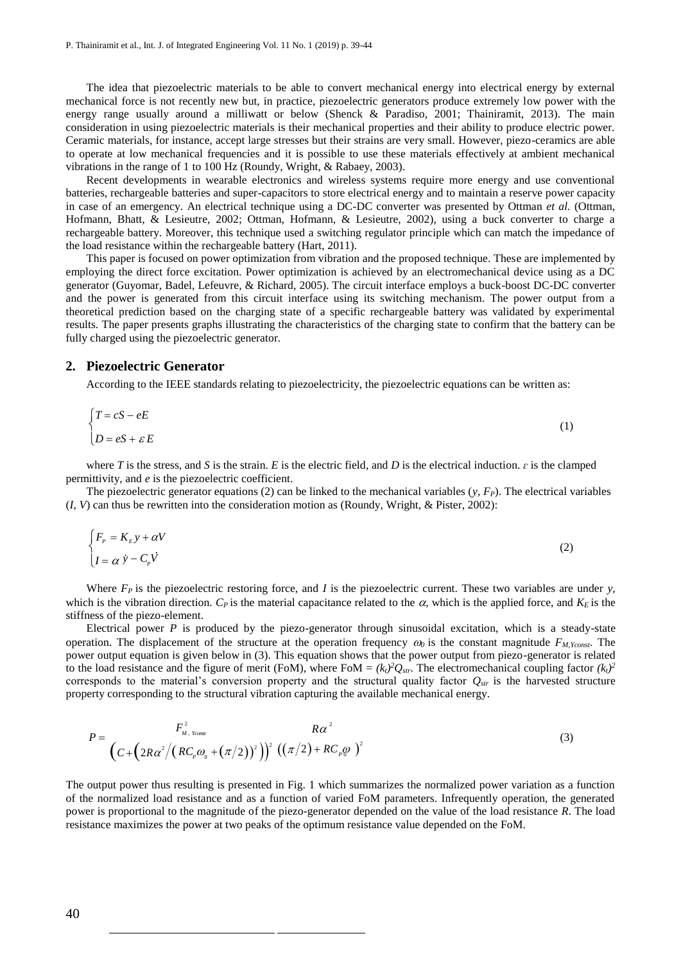The idea that piezoelectric materials to be able to convert mechanical energy into electrical energy by external mechanical force is not recently new but, in practice, piezoelectric generators produce extremely low power with the energy range usually around a milliwatt or below (Shenck & Paradiso, 2001; Thainiramit, 2013). The main consideration in using piezoelectric materials is their mechanical properties and their ability to produce electric power. Ceramic materials, for instance, accept large stresses but their strains are very small. However, piezo-ceramics are able to operate at low mechanical frequencies and it is possible to use these materials effectively at ambient mechanical vibrations in the range of 1 to 100 Hz (Roundy, Wright, & Rabaey, 2003).

Recent developments in wearable electronics and wireless systems require more energy and use conventional batteries, rechargeable batteries and super-capacitors to store electrical energy and to maintain a reserve power capacity in case of an emergency. An electrical technique using a DC-DC converter was presented by Ottman *et al.* (Ottman, Hofmann, Bhatt, & Lesieutre, 2002; Ottman, Hofmann, & Lesieutre, 2002), using a buck converter to charge a rechargeable battery. Moreover, this technique used a switching regulator principle which can match the impedance of the load resistance within the rechargeable battery (Hart, 2011).

This paper is focused on power optimization from vibration and the proposed technique. These are implemented by employing the direct force excitation. Power optimization is achieved by an electromechanical device using as a DC generator (Guyomar, Badel, Lefeuvre, & Richard, 2005). The circuit interface employs a buck-boost DC-DC converter and the power is generated from this circuit interface using its switching mechanism. The power output from a theoretical prediction based on the charging state of a specific rechargeable battery was validated by experimental results. The paper presents graphs illustrating the characteristics of the charging state to confirm that the battery can be fully charged using the piezoelectric generator.

#### **2. Piezoelectric Generator**

According to the IEEE standards relating to piezoelectricity, the piezoelectric equations can be written as:

$$
\begin{cases}\nT = cS - eE \\
D = eS + \varepsilon E\n\end{cases}
$$
\n(1)

where *T* is the stress, and *S* is the strain. *E* is the electric field, and *D* is the electrical induction.  $\varepsilon$  is the clamped permittivity, and *e* is the piezoelectric coefficient.

The piezoelectric generator equations (2) can be linked to the mechanical variables  $(y, F_P)$ . The electrical variables (*I*, *V*) can thus be rewritten into the consideration motion as (Roundy, Wright, & Pister, 2002):

$$
\begin{cases}\nF_p = K_E y + \alpha V \\
I = \alpha \ y - C_p V\n\end{cases}
$$
\n(2)

Where  $F_P$  is the piezoelectric restoring force, and *I* is the piezoelectric current. These two variables are under *y*, which is the vibration direction.  $C_P$  is the material capacitance related to the  $\alpha$ , which is the applied force, and  $K_E$  is the stiffness of the piezo-element.

Electrical power *P* is produced by the piezo-generator through sinusoidal excitation, which is a steady-state operation. The displacement of the structure at the operation frequency  $\omega_0$  is the constant magnitude  $F_{M,Yconst}$ . The power output equation is given below in (3). This equation shows that the power output from piezo-generator is related to the load resistance and the figure of merit (FoM), where FoM =  $(k_t)^2Q_{str}$ . The electromechanical coupling factor  $(k_t)^2$ corresponds to the material's conversion property and the structural quality factor *Qstr* is the harvested structure property corresponding to the structural vibration capturing the available mechanical energy.

$$
P = \frac{F_{M, Y_{const}}^2}{\left(C + \left(2R\alpha^2 / \left(RC_p\omega_0 + (\pi/2)\right)^2\right)\right)^2 \left((\pi/2) + RC_p\omega_0\right)^2}
$$
(3)

The output power thus resulting is presented in Fig. 1 which summarizes the normalized power variation as a function of the normalized load resistance and as a function of varied FoM parameters. Infrequently operation, the generated power is proportional to the magnitude of the piezo-generator depended on the value of the load resistance *R*. The load resistance maximizes the power at two peaks of the optimum resistance value depended on the FoM.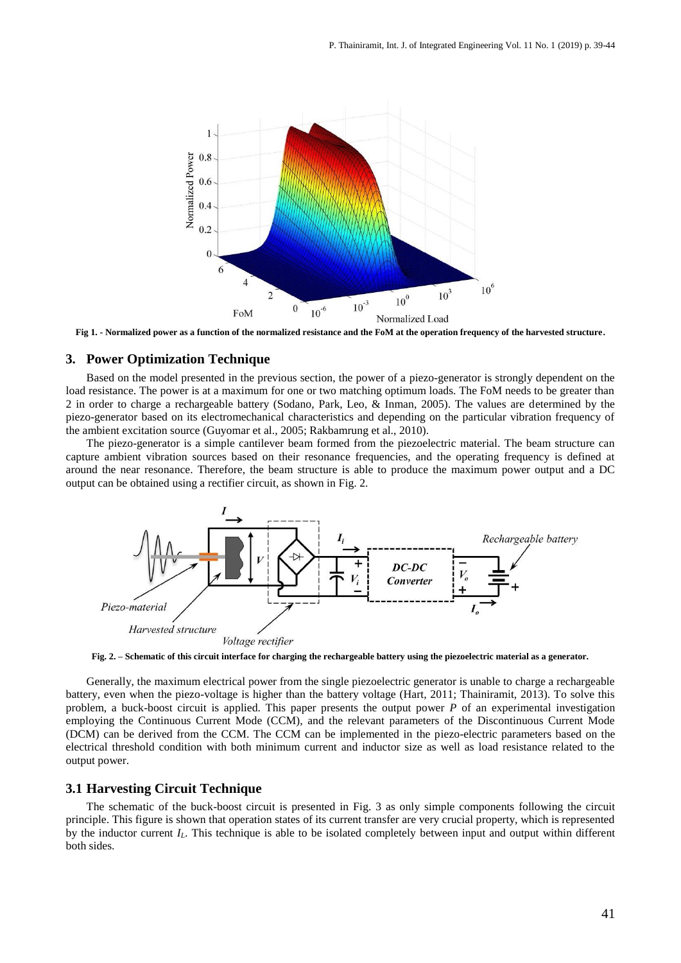

**Fig 1. - Normalized power as a function of the normalized resistance and the FoM at the operation frequency of the harvested structure.**

#### **3. Power Optimization Technique**

Based on the model presented in the previous section, the power of a piezo-generator is strongly dependent on the load resistance. The power is at a maximum for one or two matching optimum loads. The FoM needs to be greater than 2 in order to charge a rechargeable battery (Sodano, Park, Leo, & Inman, 2005). The values are determined by the piezo-generator based on its electromechanical characteristics and depending on the particular vibration frequency of the ambient excitation source (Guyomar et al., 2005; Rakbamrung et al., 2010).

The piezo-generator is a simple cantilever beam formed from the piezoelectric material. The beam structure can capture ambient vibration sources based on their resonance frequencies, and the operating frequency is defined at around the near resonance. Therefore, the beam structure is able to produce the maximum power output and a DC output can be obtained using a rectifier circuit, as shown in Fig. 2.



**Fig. 2. – Schematic of this circuit interface for charging the rechargeable battery using the piezoelectric material as a generator.**

Generally, the maximum electrical power from the single piezoelectric generator is unable to charge a rechargeable battery, even when the piezo-voltage is higher than the battery voltage (Hart, 2011; Thainiramit, 2013). To solve this problem, a buck-boost circuit is applied. This paper presents the output power *P* of an experimental investigation employing the Continuous Current Mode (CCM), and the relevant parameters of the Discontinuous Current Mode (DCM) can be derived from the CCM. The CCM can be implemented in the piezo-electric parameters based on the electrical threshold condition with both minimum current and inductor size as well as load resistance related to the output power.

#### **3.1 Harvesting Circuit Technique**

The schematic of the buck-boost circuit is presented in Fig. 3 as only simple components following the circuit principle. This figure is shown that operation states of its current transfer are very crucial property, which is represented by the inductor current *IL*. This technique is able to be isolated completely between input and output within different both sides.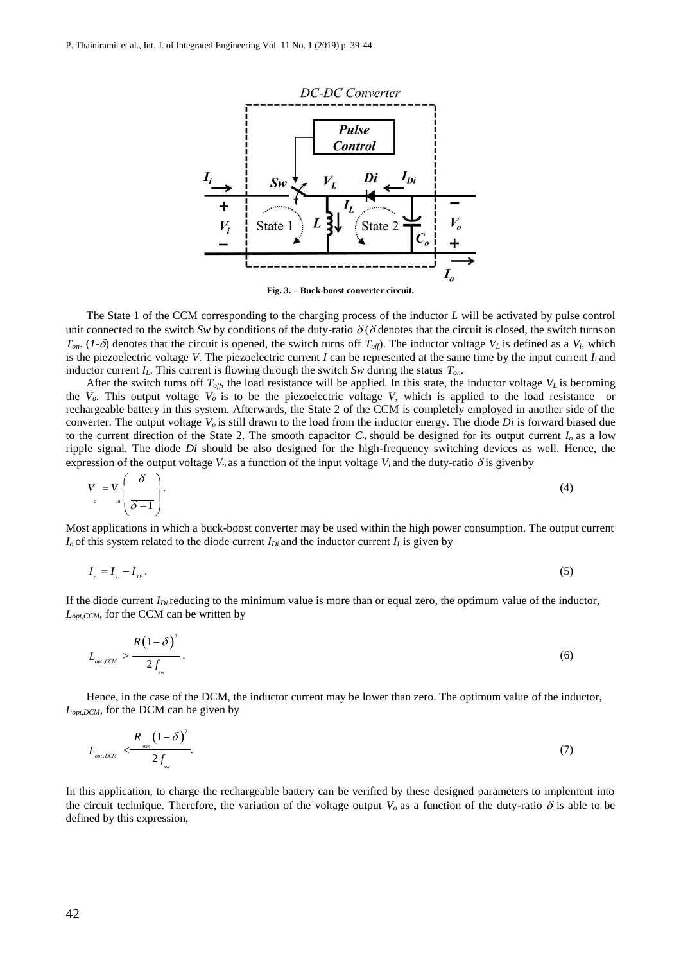

**Fig. 3. – Buck-boost converter circuit.**

The State 1 of the CCM corresponding to the charging process of the inductor *L* will be activated by pulse control unit connected to the switch *Sw* by conditions of the duty-ratio  $\delta(\delta)$  denotes that the circuit is closed, the switch turns on  $T_{on}$ . (*1-* $\delta$ ) denotes that the circuit is opened, the switch turns off  $T_{off}$ ). The inductor voltage  $V_L$  is defined as a  $V_i$ , which is the piezoelectric voltage *V*. The piezoelectric current *I* can be represented at the same time by the input current  $I_i$  and inductor current *IL*. This current is flowing through the switch *Sw* during the status *Ton*.

After the switch turns off  $T_{off}$ , the load resistance will be applied. In this state, the inductor voltage  $V_L$  is becoming the  $V<sub>o</sub>$ . This output voltage  $V<sub>o</sub>$  is to be the piezoelectric voltage V, which is applied to the load resistance or rechargeable battery in this system. Afterwards, the State 2 of the CCM is completely employed in another side of the converter. The output voltage *Vo* is still drawn to the load from the inductor energy. The diode *Di* is forward biased due to the current direction of the State 2. The smooth capacitor  $C<sub>o</sub>$  should be designed for its output current  $I<sub>o</sub>$  as a low ripple signal. The diode *Di* should be also designed for the high-frequency switching devices as well. Hence, the expression of the output voltage  $V$ <sup>*o*</sup> as a function of the input voltage  $V$ *i* and the duty-ratio  $\delta$  is given by

$$
V = V \left( \frac{\delta}{\delta - 1} \right). \tag{4}
$$

Most applications in which a buck-boost converter may be used within the high power consumption. The output current  $I$ <sup>*o*</sup> of this system related to the diode current  $I$ <sub>*Di*</sub> and the inductor current  $I$ <sub>*L*</sub> is given by

$$
I_{\rho} = I_{L} - I_{N} \tag{5}
$$

If the diode current  $I_{Di}$  reducing to the minimum value is more than or equal zero, the optimum value of the inductor, *Lopt,CCM*, for the CCM can be written by

$$
L_{_{opt,CCM}} > \frac{R(1-\delta)^2}{2f_{_{\rm sw}}}.
$$

Hence, in the case of the DCM, the inductor current may be lower than zero. The optimum value of the inductor, *Lopt,DCM*, for the DCM can be given by

$$
L_{\text{opt,DCM}} \leq \frac{R_{\text{min}} \left(1-\delta\right)^2}{2f_{\text{sw}}}.\tag{7}
$$

In this application, to charge the rechargeable battery can be verified by these designed parameters to implement into the circuit technique. Therefore, the variation of the voltage output  $V<sub>o</sub>$  as a function of the duty-ratio  $\delta$  is able to be defined by this expression,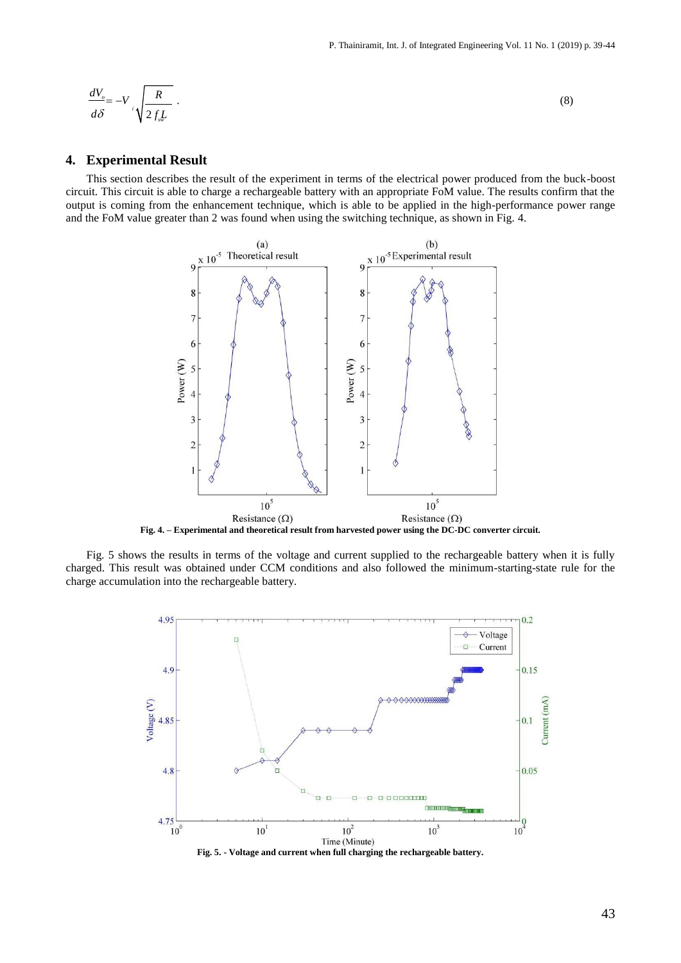$$
\frac{dV_{\rho}}{d\delta} = -V_{i} \sqrt{\frac{R}{2f_{sw}L}} \tag{8}
$$

#### **4. Experimental Result**

This section describes the result of the experiment in terms of the electrical power produced from the buck-boost circuit. This circuit is able to charge a rechargeable battery with an appropriate FoM value. The results confirm that the output is coming from the enhancement technique, which is able to be applied in the high-performance power range and the FoM value greater than 2 was found when using the switching technique, as shown in Fig. 4.



**Fig. 4. – Experimental and theoretical result from harvested power using the DC-DC converter circuit.**

Fig. 5 shows the results in terms of the voltage and current supplied to the rechargeable battery when it is fully charged. This result was obtained under CCM conditions and also followed the minimum-starting-state rule for the charge accumulation into the rechargeable battery.